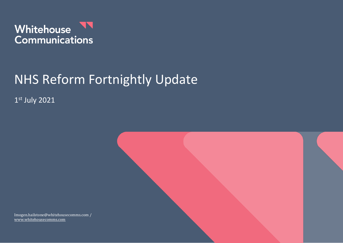

# NHS Reform Fortnightly Update

1 st July 2021



Imogen.hailstone@whitehousecomms.com / [www.whitehousecomms.com](http://www.whitehousecomms.com/)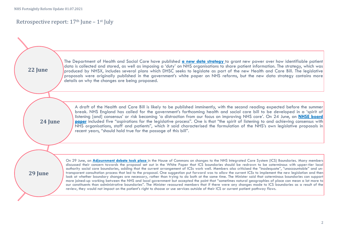## Retrospective report:  $17<sup>th</sup>$  June –  $1<sup>st</sup>$  July

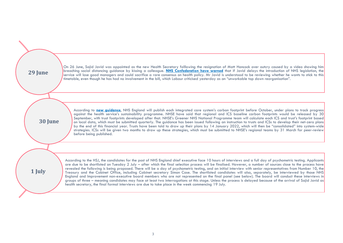

On 26 June, Sajid Javid was appointed as the new Health Secretary folllowing the resignation of Matt Hancock over outcry caused by a video showing him breaching social distancing guidance by kissing a colleague. **NHS Confederation have warned** that if Javid delays the introduction of NHS legislation, the service will lose good managers and could sacrifice a rare consensus on health policy. Mr Javid is understood to be reviewing whether he wants to stick to this timetable, even though he has had no involvement in the bill, which Labour criticised yesterday as an "unworkable top down [reorganisation"](https://whitehousecomms.com/wp-content/uploads/2021/07/nhsconfederationlettertothesecretaryofstate29thjune2021_541374.pdf).

**16th June 30 June**

According to **new guidance**, NHS England will publish each integrated care system's carbon footprint before October, under plans to track progress against the health service's sustainability programme. NHSE have said that regional and ICS baseline carbon footprints would be released by 30 September, with trust footprints developed after that. NHSE's Greener NHS National Programme team will calculate each ICS and trust's footprint based on local data, which must be submitted quarterly. The guidance has been issued following an instruction to trusts and ICSs to develop their net-zero plans by the end of this financial year. Trusts have been told to draw up their plans by 14 January 2022, which will then be ["consolidated"](https://www.england.nhs.uk/greenernhs/wp-content/uploads/sites/51/2021/06/B0507-how-to-produce-a-green-plan-three-year-strategy-towards-net-zero-june-2021.pdf) into system-wide strategies. ICSs will be given two months to draw up these strategies, which must be submitted to NHSE's regional teams by 31 March for peer-review before being published.

**1 July**

According to the HSJ, the candidates for the post of NHS England chief executive face 10 hours of interviews and a full day of psychometric testing. Applicants are due to be shortlisted on Tuesday 2 July – after which the final selection process will be finalised. However, a number of sources close to the process have revealed the following is being proposed. There will be a day of psychometric testing, and an initial interview with senior [representatives](https://www.gov.uk/government/news/36-million-boost-for-ai-technologies-to-revolutionise-nhs-care) from Number 10, the Treasury and the Cabinet Office, including Cabinet secretary Simon Case. The shortlisted candidates will also, separately, be interviewed by those NHS England and Improvement non-executive board members who are not represented on the final panel (see below). The board will conduct these interviews in groups of three – meaning candidates may face at least two interrogations at this stage. Unless the process is delayed because of the arrival of Sajid Javid as health secretary, the final formal interviews are due to take place in the week commencing 19 July.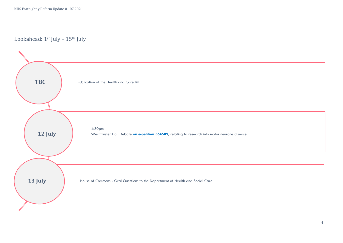Lookahead: 1st July - 15th July

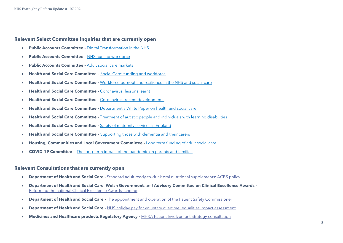NHS Fortnightly Reform Update 01.07.2021

### **Relevant Select Committee Inquiries that are currently open**

- **Public Accounts Committee -** [Digital Transformation in the NHS](https://committees.parliament.uk/work/479/digital-transformation-in-the-nhs/)
- **Public Accounts Committee** [NHS nursing workforce](https://committees.parliament.uk/work/373/nhs-nursing-workforce/)
- **Public Accounts Committee -** [Adult social care markets](https://committees.parliament.uk/work/1135/adult-social-care-markets/)
- **Health and Social Care Committee –** [Social Care: funding and workforce](https://committees.parliament.uk/work/136/social-care-funding-and-workforce/)
- **Health and Social Care Committee -** [Workforce burnout and resilience in the NHS and social care](https://committees.parliament.uk/work/494/workforce-burnout-and-resilience-in-the-nhs-and-social-care/)
- **Health and Social Care Committee -** [Coronavirus: lessons learnt](https://committees.parliament.uk/work/657/coronavirus-lessons-learnt/)
- **Health and Social Care Committee -** [Coronavirus: recent developments](https://committees.parliament.uk/work/930/coronavirus-recent-developments/)
- **Health and Social Care Committee -** [Department's White Paper on health and social care](https://committees.parliament.uk/work/1068/departments-white-paper-on-health-and-social-care/)
- **Health and Social Care Committee -** [Treatment of autistic people and individuals with learning disabilities](https://committees.parliament.uk/work/1026/treatment-of-autistic-people-and-individuals-with-learning-disabilities/)
- **Health and Social Care Committee -** [Safety of maternity services in England](https://committees.parliament.uk/work/472/safety-of-maternity-services-in-england/)
- **Health and Social Care Committee –** [Supporting those with dementia and their carers](https://committees.parliament.uk/work/1231/supporting-those-with-dementia-and-their-carers/)
- **Housing, Communities and Local Government Committee -** [Long term funding of adult social care](https://committees.parliament.uk/work/1080/long-term-funding-of-adult-social-care/)
- **COVID-19 Committee -** [The long-term impact of the pandemic on parents and families](https://committees.parliament.uk/work/1121/the-longterm-impact-of-the-pandemic-on-parents-and-families/)

#### **Relevant Consultations that are currently open**

- **Department of Health and Social Care -** [Standard adult ready-to-drink oral nutritional supplements: ACBS policy](https://www.gov.uk/government/consultations/oral-nutritional-supplements-acbs-policy)
- **Department of Health and Social Care**, **Welsh Government**, and **Advisory Committee on Clinical Excellence Awards -** [Reforming the national Clinical Excellence Awards scheme](https://www.gov.uk/government/consultations/reforming-the-national-clinical-excellence-awards-scheme)
- **Department of Health and Social Care -** [The appointment and operation of the Patient Safety Commissioner](https://www.gov.uk/government/consultations/the-appointment-and-operation-of-the-patient-safety-commissioner)
- **Department of Health and Social Care -** [NHS holiday pay for voluntary overtime: equalities impact assessment](https://www.gov.uk/government/publications/nhs-holiday-pay-for-voluntary-overtime-equalities-impact-assessment)
- **Medicines and Healthcare products Regulatory Agency -** [MHRA Patient Involvement Strategy consultation](https://www.gov.uk/government/consultations/mhra-patient-involvement-strategy-consultation/proposed-patient-and-public-involvement-strategy-2020-25)